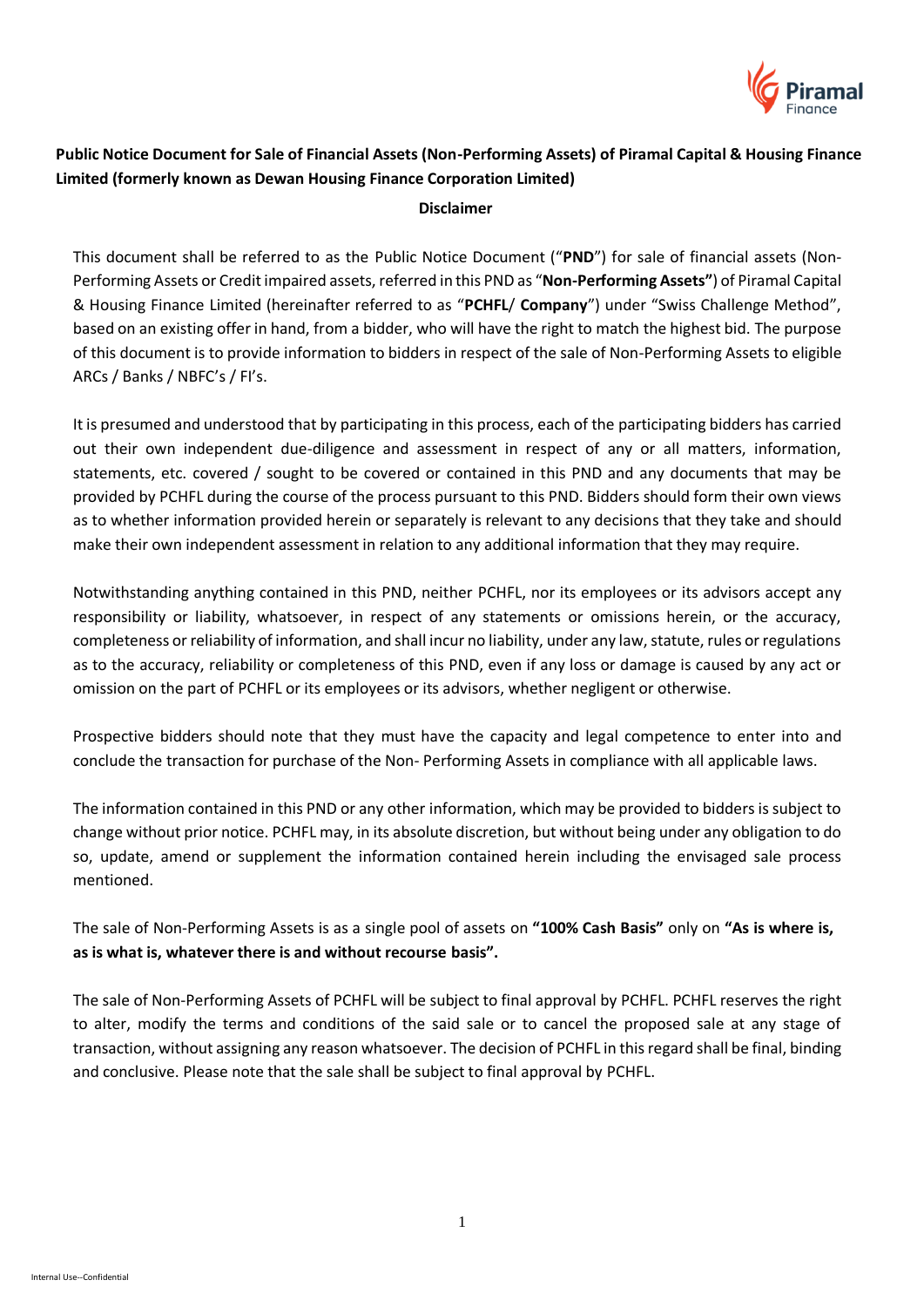

# **Public Notice Document for Sale of Financial Assets (Non-Performing Assets) of Piramal Capital & Housing Finance Limited (formerly known as Dewan Housing Finance Corporation Limited)**

#### **Disclaimer**

This document shall be referred to as the Public Notice Document ("**PND**") for sale of financial assets (Non-Performing Assets or Credit impaired assets, referred in this PND as "**Non-Performing Assets"**) of Piramal Capital & Housing Finance Limited (hereinafter referred to as "**PCHFL**/ **Company**") under "Swiss Challenge Method", based on an existing offer in hand, from a bidder, who will have the right to match the highest bid. The purpose of this document is to provide information to bidders in respect of the sale of Non-Performing Assets to eligible ARCs / Banks / NBFC's / FI's.

It is presumed and understood that by participating in this process, each of the participating bidders has carried out their own independent due-diligence and assessment in respect of any or all matters, information, statements, etc. covered / sought to be covered or contained in this PND and any documents that may be provided by PCHFL during the course of the process pursuant to this PND. Bidders should form their own views as to whether information provided herein or separately is relevant to any decisions that they take and should make their own independent assessment in relation to any additional information that they may require.

Notwithstanding anything contained in this PND, neither PCHFL, nor its employees or its advisors accept any responsibility or liability, whatsoever, in respect of any statements or omissions herein, or the accuracy, completeness or reliability of information, and shall incur no liability, under any law, statute, rules or regulations as to the accuracy, reliability or completeness of this PND, even if any loss or damage is caused by any act or omission on the part of PCHFL or its employees or its advisors, whether negligent or otherwise.

Prospective bidders should note that they must have the capacity and legal competence to enter into and conclude the transaction for purchase of the Non- Performing Assets in compliance with all applicable laws.

The information contained in this PND or any other information, which may be provided to bidders is subject to change without prior notice. PCHFL may, in its absolute discretion, but without being under any obligation to do so, update, amend or supplement the information contained herein including the envisaged sale process mentioned.

The sale of Non-Performing Assets is as a single pool of assets on **"100% Cash Basis"** only on **"As is where is, as is what is, whatever there is and without recourse basis".**

The sale of Non-Performing Assets of PCHFL will be subject to final approval by PCHFL. PCHFL reserves the right to alter, modify the terms and conditions of the said sale or to cancel the proposed sale at any stage of transaction, without assigning any reason whatsoever. The decision of PCHFL in this regard shall be final, binding and conclusive. Please note that the sale shall be subject to final approval by PCHFL.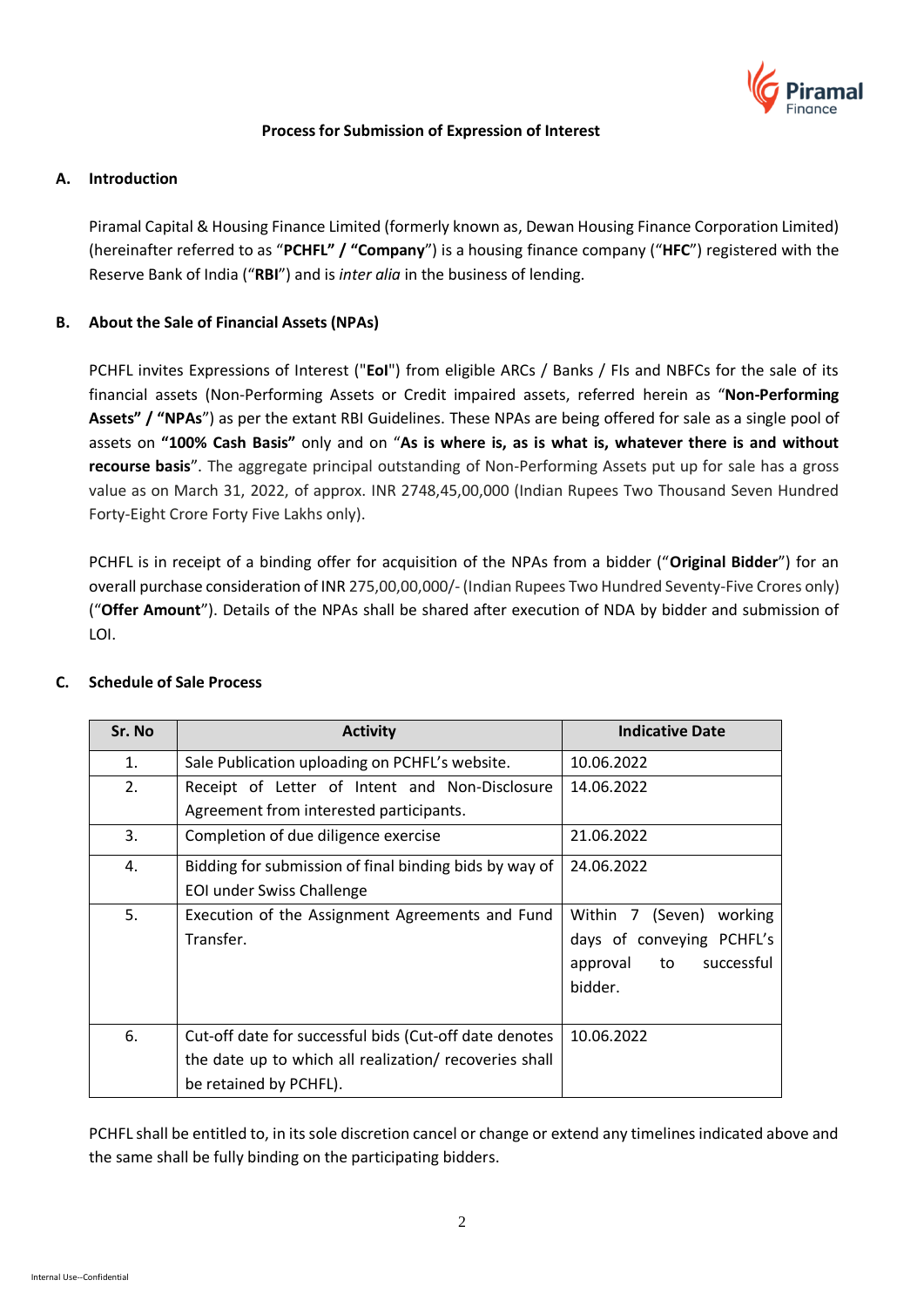

#### **Process for Submission of Expression of Interest**

### **A. Introduction**

Piramal Capital & Housing Finance Limited (formerly known as, Dewan Housing Finance Corporation Limited) (hereinafter referred to as "**PCHFL" / "Company**") is a housing finance company ("**HFC**") registered with the Reserve Bank of India ("**RBI**") and is *inter alia* in the business of lending.

### **B. About the Sale of Financial Assets (NPAs)**

PCHFL invites Expressions of Interest ("**EoI**") from eligible ARCs / Banks / FIs and NBFCs for the sale of its financial assets (Non-Performing Assets or Credit impaired assets, referred herein as "**Non-Performing Assets" / "NPAs**") as per the extant RBI Guidelines. These NPAs are being offered for sale as a single pool of assets on **"100% Cash Basis"** only and on "**As is where is, as is what is, whatever there is and without recourse basis**". The aggregate principal outstanding of Non-Performing Assets put up for sale has a gross value as on March 31, 2022, of approx. INR 2748,45,00,000 (Indian Rupees Two Thousand Seven Hundred Forty-Eight Crore Forty Five Lakhs only).

PCHFL is in receipt of a binding offer for acquisition of the NPAs from a bidder ("**Original Bidder**") for an overall purchase consideration of INR 275,00,00,000/- (Indian Rupees Two Hundred Seventy-Five Crores only) ("**Offer Amount**"). Details of the NPAs shall be shared after execution of NDA by bidder and submission of LOI.

| Sr. No         | <b>Activity</b>                                        | <b>Indicative Date</b>       |
|----------------|--------------------------------------------------------|------------------------------|
| $\mathbf{1}$ . | Sale Publication uploading on PCHFL's website.         | 10.06.2022                   |
| 2.             | Receipt of Letter of Intent and Non-Disclosure         | 14.06.2022                   |
|                | Agreement from interested participants.                |                              |
| 3.             | Completion of due diligence exercise                   | 21.06.2022                   |
| 4.             | Bidding for submission of final binding bids by way of | 24.06.2022                   |
|                | <b>EOI under Swiss Challenge</b>                       |                              |
| 5.             | Execution of the Assignment Agreements and Fund        | Within 7 (Seven)<br>working  |
|                | Transfer.                                              | days of conveying PCHFL's    |
|                |                                                        | successful<br>approval<br>to |
|                |                                                        | bidder.                      |
|                |                                                        |                              |
| 6.             | Cut-off date for successful bids (Cut-off date denotes | 10.06.2022                   |
|                | the date up to which all realization/ recoveries shall |                              |
|                | be retained by PCHFL).                                 |                              |

#### **C. Schedule of Sale Process**

PCHFL shall be entitled to, in its sole discretion cancel or change or extend any timelines indicated above and the same shall be fully binding on the participating bidders.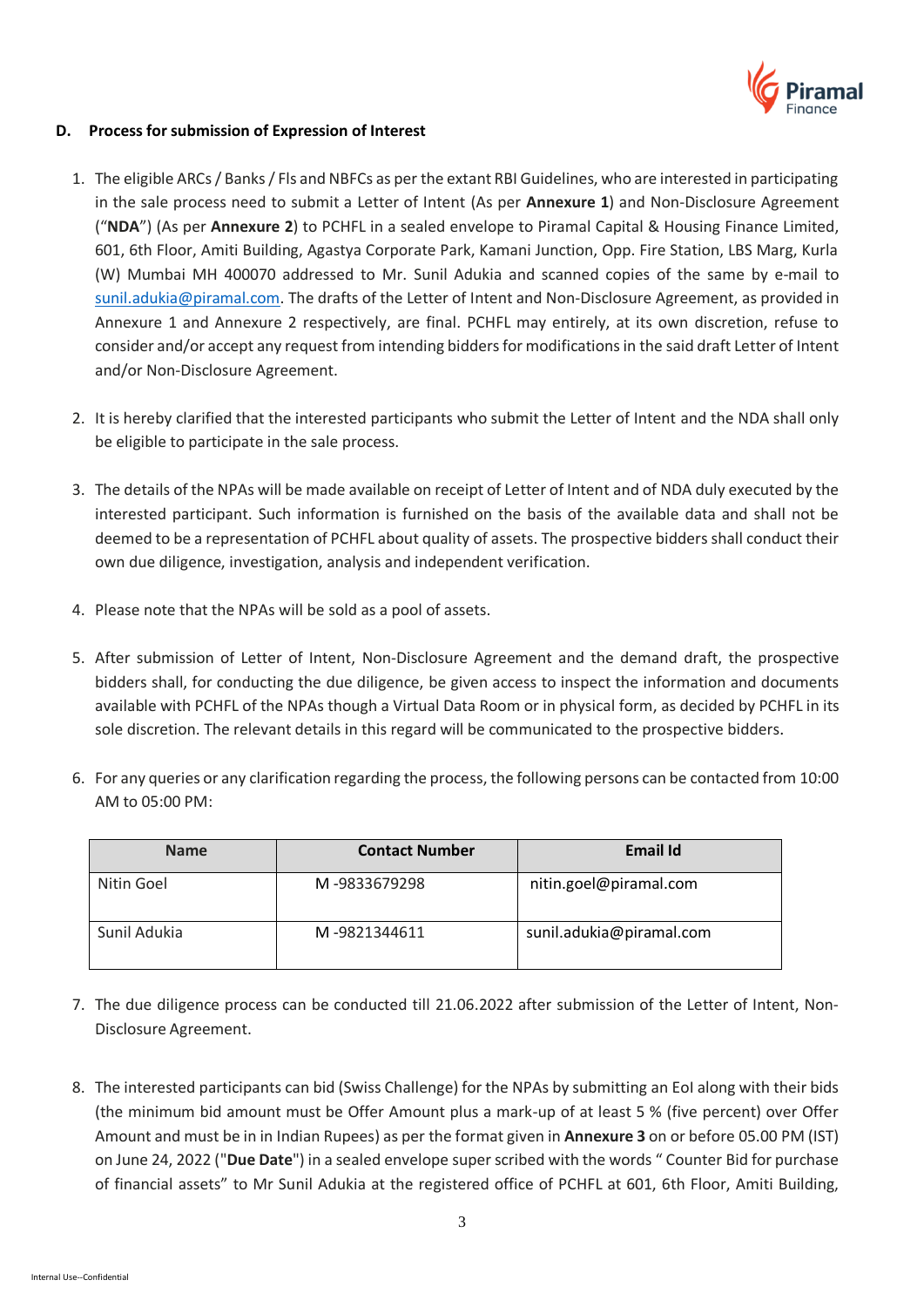

#### **D. Process for submission of Expression of Interest**

- 1. The eligible ARCs / Banks / Fls and NBFCs as per the extant RBI Guidelines, who are interested in participating in the sale process need to submit a Letter of Intent (As per **Annexure 1**) and Non-Disclosure Agreement ("**NDA**") (As per **Annexure 2**) to PCHFL in a sealed envelope to Piramal Capital & Housing Finance Limited, 601, 6th Floor, Amiti Building, Agastya Corporate Park, Kamani Junction, Opp. Fire Station, LBS Marg, Kurla (W) Mumbai MH 400070 addressed to Mr. Sunil Adukia and scanned copies of the same by e-mail to [sunil.adukia@piramal.com.](mailto:sunil.adukia@piramal.com) The drafts of the Letter of Intent and Non-Disclosure Agreement, as provided in Annexure 1 and Annexure 2 respectively, are final. PCHFL may entirely, at its own discretion, refuse to consider and/or accept any request from intending bidders for modifications in the said draft Letter of Intent and/or Non-Disclosure Agreement.
- 2. It is hereby clarified that the interested participants who submit the Letter of Intent and the NDA shall only be eligible to participate in the sale process.
- 3. The details of the NPAs will be made available on receipt of Letter of Intent and of NDA duly executed by the interested participant. Such information is furnished on the basis of the available data and shall not be deemed to be a representation of PCHFL about quality of assets. The prospective bidders shall conduct their own due diligence, investigation, analysis and independent verification.
- 4. Please note that the NPAs will be sold as a pool of assets.
- 5. After submission of Letter of Intent, Non-Disclosure Agreement and the demand draft, the prospective bidders shall, for conducting the due diligence, be given access to inspect the information and documents available with PCHFL of the NPAs though a Virtual Data Room or in physical form, as decided by PCHFL in its sole discretion. The relevant details in this regard will be communicated to the prospective bidders.
- 6. For any queries or any clarification regarding the process, the following persons can be contacted from 10:00 AM to 05:00 PM:

| <b>Name</b>  | <b>Contact Number</b> | Email Id                 |
|--------------|-----------------------|--------------------------|
| Nitin Goel   | M-9833679298          | nitin.goel@piramal.com   |
| Sunil Adukia | M-9821344611          | sunil.adukia@piramal.com |

- 7. The due diligence process can be conducted till 21.06.2022 after submission of the Letter of Intent, Non-Disclosure Agreement.
- 8. The interested participants can bid (Swiss Challenge) for the NPAs by submitting an EoI along with their bids (the minimum bid amount must be Offer Amount plus a mark-up of at least 5 % (five percent) over Offer Amount and must be in in Indian Rupees) as per the format given in **Annexure 3** on or before 05.00 PM (IST) on June 24, 2022 ("**Due Date**") in a sealed envelope super scribed with the words " Counter Bid for purchase of financial assets" to Mr Sunil Adukia at the registered office of PCHFL at 601, 6th Floor, Amiti Building,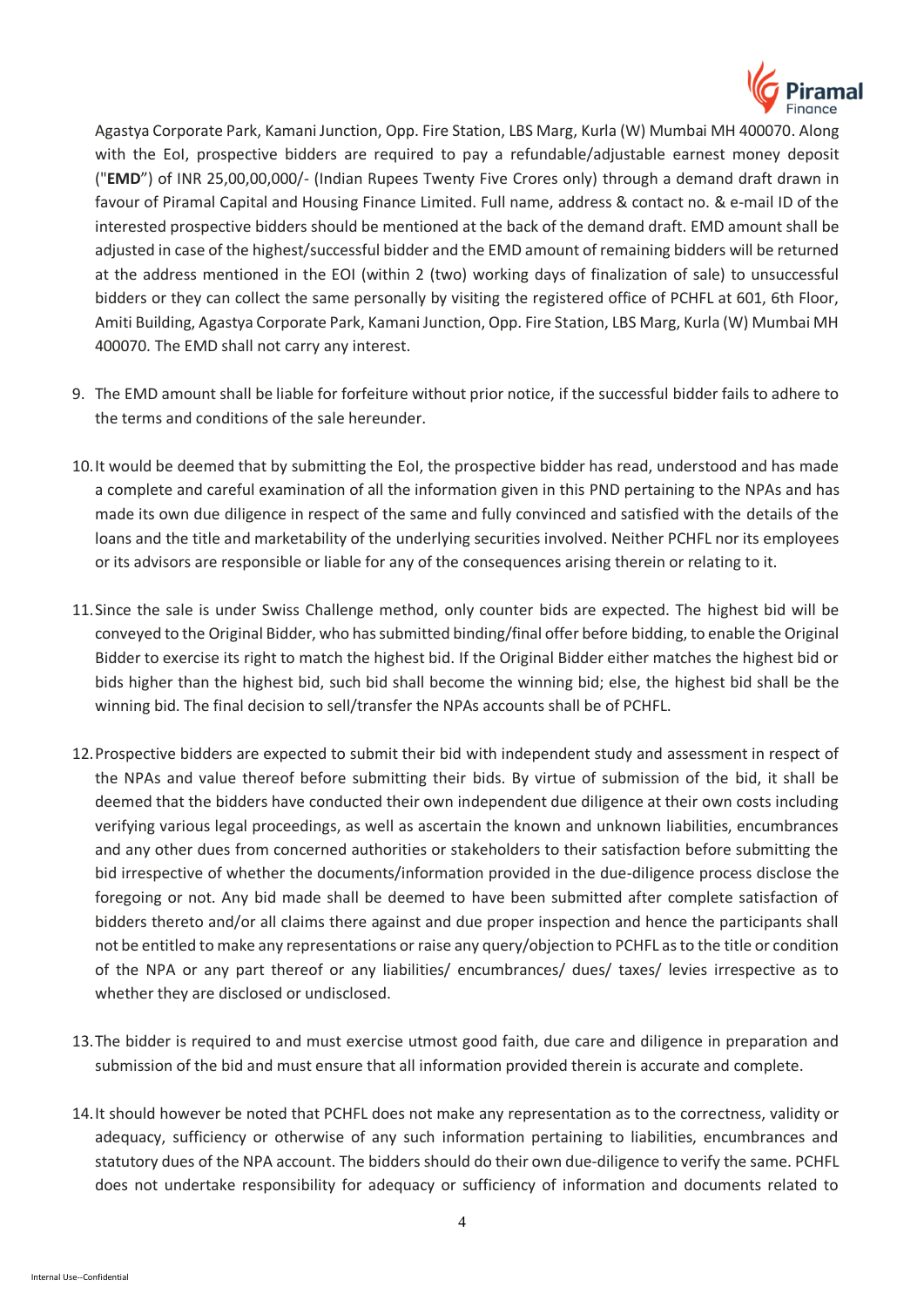

Agastya Corporate Park, Kamani Junction, Opp. Fire Station, LBS Marg, Kurla (W) Mumbai MH 400070. Along with the EoI, prospective bidders are required to pay a refundable/adjustable earnest money deposit ("**EMD**") of INR 25,00,00,000/- (Indian Rupees Twenty Five Crores only) through a demand draft drawn in favour of Piramal Capital and Housing Finance Limited. Full name, address & contact no. & e-mail ID of the interested prospective bidders should be mentioned at the back of the demand draft. EMD amount shall be adjusted in case of the highest/successful bidder and the EMD amount of remaining bidders will be returned at the address mentioned in the EOI (within 2 (two) working days of finalization of sale) to unsuccessful bidders or they can collect the same personally by visiting the registered office of PCHFL at 601, 6th Floor, Amiti Building, Agastya Corporate Park, Kamani Junction, Opp. Fire Station, LBS Marg, Kurla (W) Mumbai MH 400070. The EMD shall not carry any interest.

- 9. The EMD amount shall be liable for forfeiture without prior notice, if the successful bidder fails to adhere to the terms and conditions of the sale hereunder.
- 10.It would be deemed that by submitting the EoI, the prospective bidder has read, understood and has made a complete and careful examination of all the information given in this PND pertaining to the NPAs and has made its own due diligence in respect of the same and fully convinced and satisfied with the details of the loans and the title and marketability of the underlying securities involved. Neither PCHFL nor its employees or its advisors are responsible or liable for any of the consequences arising therein or relating to it.
- 11.Since the sale is under Swiss Challenge method, only counter bids are expected. The highest bid will be conveyed to the Original Bidder, who has submitted binding/final offer before bidding, to enable the Original Bidder to exercise its right to match the highest bid. If the Original Bidder either matches the highest bid or bids higher than the highest bid, such bid shall become the winning bid; else, the highest bid shall be the winning bid. The final decision to sell/transfer the NPAs accounts shall be of PCHFL.
- 12.Prospective bidders are expected to submit their bid with independent study and assessment in respect of the NPAs and value thereof before submitting their bids. By virtue of submission of the bid, it shall be deemed that the bidders have conducted their own independent due diligence at their own costs including verifying various legal proceedings, as well as ascertain the known and unknown liabilities, encumbrances and any other dues from concerned authorities or stakeholders to their satisfaction before submitting the bid irrespective of whether the documents/information provided in the due-diligence process disclose the foregoing or not. Any bid made shall be deemed to have been submitted after complete satisfaction of bidders thereto and/or all claims there against and due proper inspection and hence the participants shall not be entitled to make any representations or raise any query/objection to PCHFL as to the title or condition of the NPA or any part thereof or any liabilities/ encumbrances/ dues/ taxes/ levies irrespective as to whether they are disclosed or undisclosed.
- 13.The bidder is required to and must exercise utmost good faith, due care and diligence in preparation and submission of the bid and must ensure that all information provided therein is accurate and complete.
- 14.It should however be noted that PCHFL does not make any representation as to the correctness, validity or adequacy, sufficiency or otherwise of any such information pertaining to liabilities, encumbrances and statutory dues of the NPA account. The bidders should do their own due-diligence to verify the same. PCHFL does not undertake responsibility for adequacy or sufficiency of information and documents related to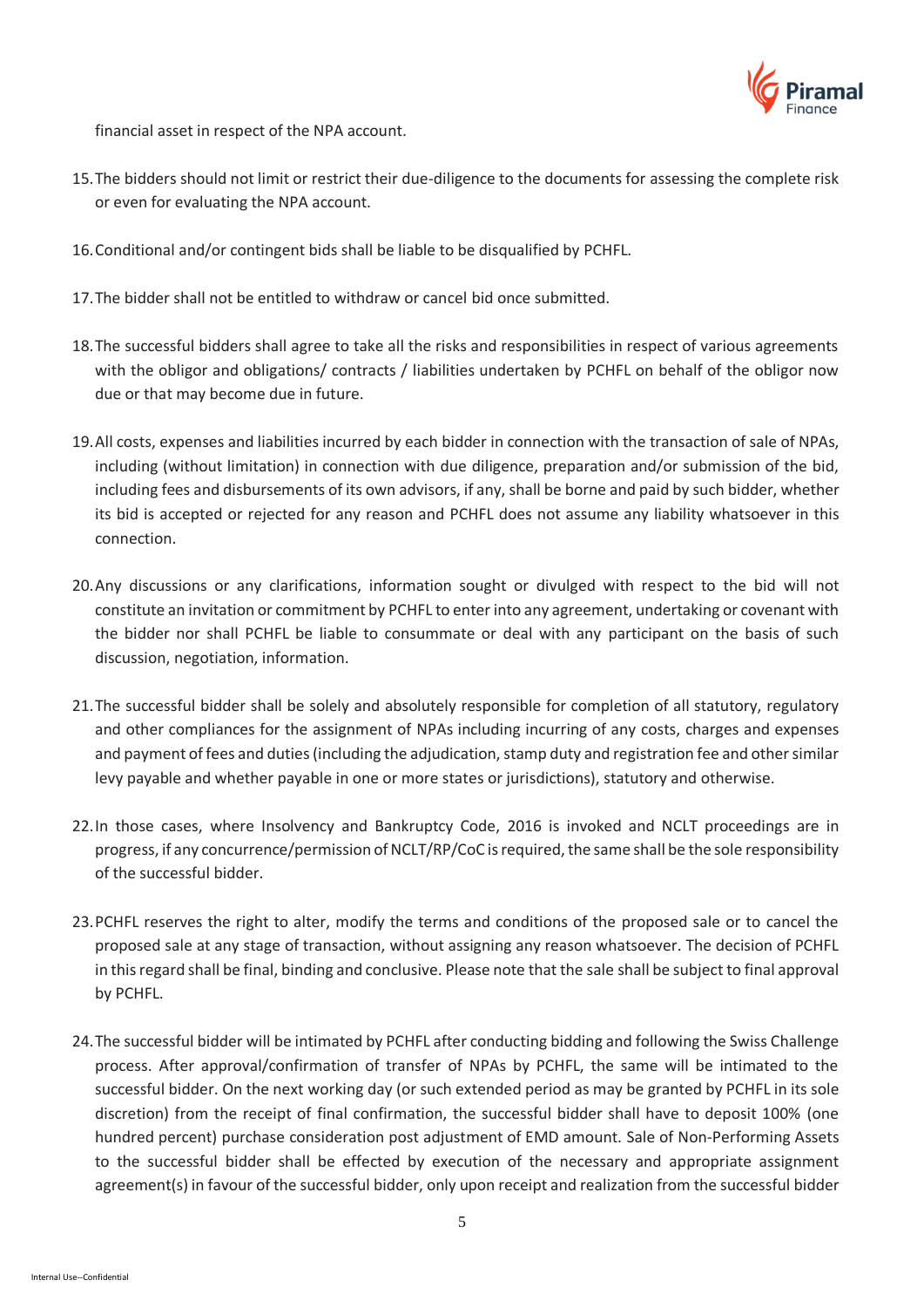

financial asset in respect of the NPA account.

- 15.The bidders should not limit or restrict their due-diligence to the documents for assessing the complete risk or even for evaluating the NPA account.
- 16.Conditional and/or contingent bids shall be liable to be disqualified by PCHFL.
- 17.The bidder shall not be entitled to withdraw or cancel bid once submitted.
- 18.The successful bidders shall agree to take all the risks and responsibilities in respect of various agreements with the obligor and obligations/ contracts / liabilities undertaken by PCHFL on behalf of the obligor now due or that may become due in future.
- 19.All costs, expenses and liabilities incurred by each bidder in connection with the transaction of sale of NPAs, including (without limitation) in connection with due diligence, preparation and/or submission of the bid, including fees and disbursements of its own advisors, if any, shall be borne and paid by such bidder, whether its bid is accepted or rejected for any reason and PCHFL does not assume any liability whatsoever in this connection.
- 20.Any discussions or any clarifications, information sought or divulged with respect to the bid will not constitute an invitation or commitment by PCHFL to enter into any agreement, undertaking or covenant with the bidder nor shall PCHFL be liable to consummate or deal with any participant on the basis of such discussion, negotiation, information.
- 21.The successful bidder shall be solely and absolutely responsible for completion of all statutory, regulatory and other compliances for the assignment of NPAs including incurring of any costs, charges and expenses and payment of fees and duties (including the adjudication, stamp duty and registration fee and other similar levy payable and whether payable in one or more states or jurisdictions), statutory and otherwise.
- 22.In those cases, where Insolvency and Bankruptcy Code, 2016 is invoked and NCLT proceedings are in progress, if any concurrence/permission of NCLT/RP/CoC is required, the same shall be the sole responsibility of the successful bidder.
- 23.PCHFL reserves the right to alter, modify the terms and conditions of the proposed sale or to cancel the proposed sale at any stage of transaction, without assigning any reason whatsoever. The decision of PCHFL in this regard shall be final, binding and conclusive. Please note that the sale shall be subject to final approval by PCHFL.
- 24.The successful bidder will be intimated by PCHFL after conducting bidding and following the Swiss Challenge process. After approval/confirmation of transfer of NPAs by PCHFL, the same will be intimated to the successful bidder. On the next working day (or such extended period as may be granted by PCHFL in its sole discretion) from the receipt of final confirmation, the successful bidder shall have to deposit 100% (one hundred percent) purchase consideration post adjustment of EMD amount. Sale of Non-Performing Assets to the successful bidder shall be effected by execution of the necessary and appropriate assignment agreement(s) in favour of the successful bidder, only upon receipt and realization from the successful bidder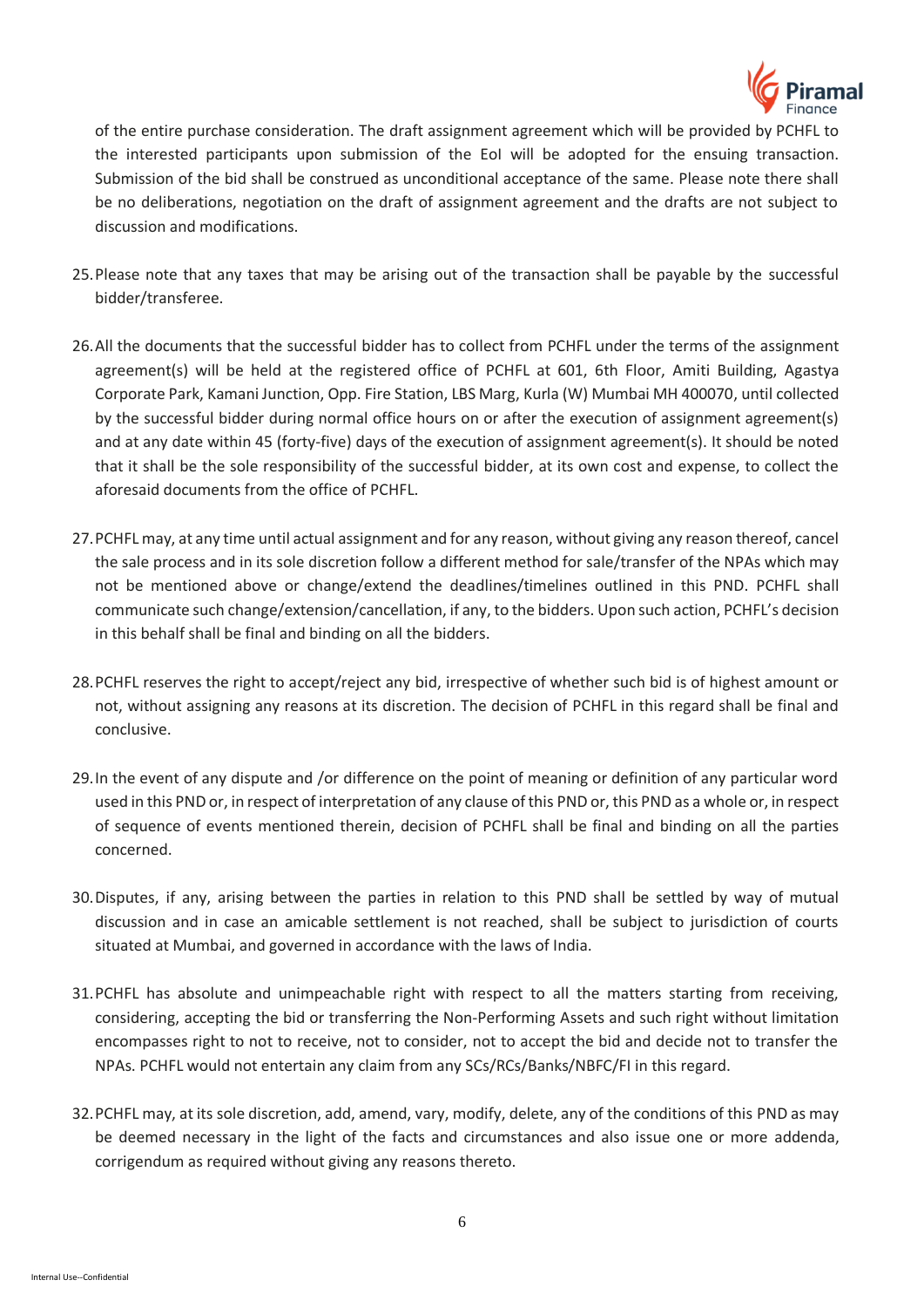

of the entire purchase consideration. The draft assignment agreement which will be provided by PCHFL to the interested participants upon submission of the EoI will be adopted for the ensuing transaction. Submission of the bid shall be construed as unconditional acceptance of the same. Please note there shall be no deliberations, negotiation on the draft of assignment agreement and the drafts are not subject to discussion and modifications.

- 25.Please note that any taxes that may be arising out of the transaction shall be payable by the successful bidder/transferee.
- 26.All the documents that the successful bidder has to collect from PCHFL under the terms of the assignment agreement(s) will be held at the registered office of PCHFL at 601, 6th Floor, Amiti Building, Agastya Corporate Park, Kamani Junction, Opp. Fire Station, LBS Marg, Kurla (W) Mumbai MH 400070, until collected by the successful bidder during normal office hours on or after the execution of assignment agreement(s) and at any date within 45 (forty-five) days of the execution of assignment agreement(s). It should be noted that it shall be the sole responsibility of the successful bidder, at its own cost and expense, to collect the aforesaid documents from the office of PCHFL.
- 27.PCHFL may, at any time until actual assignment and for any reason, without giving any reason thereof, cancel the sale process and in its sole discretion follow a different method for sale/transfer of the NPAs which may not be mentioned above or change/extend the deadlines/timelines outlined in this PND. PCHFL shall communicate such change/extension/cancellation, if any, to the bidders. Upon such action, PCHFL's decision in this behalf shall be final and binding on all the bidders.
- 28.PCHFL reserves the right to accept/reject any bid, irrespective of whether such bid is of highest amount or not, without assigning any reasons at its discretion. The decision of PCHFL in this regard shall be final and conclusive.
- 29.In the event of any dispute and /or difference on the point of meaning or definition of any particular word used in this PND or, in respect of interpretation of any clause of this PND or, this PND as a whole or, in respect of sequence of events mentioned therein, decision of PCHFL shall be final and binding on all the parties concerned.
- 30.Disputes, if any, arising between the parties in relation to this PND shall be settled by way of mutual discussion and in case an amicable settlement is not reached, shall be subject to jurisdiction of courts situated at Mumbai, and governed in accordance with the laws of India.
- 31.PCHFL has absolute and unimpeachable right with respect to all the matters starting from receiving, considering, accepting the bid or transferring the Non-Performing Assets and such right without limitation encompasses right to not to receive, not to consider, not to accept the bid and decide not to transfer the NPAs. PCHFL would not entertain any claim from any SCs/RCs/Banks/NBFC/FI in this regard.
- 32.PCHFL may, at its sole discretion, add, amend, vary, modify, delete, any of the conditions of this PND as may be deemed necessary in the light of the facts and circumstances and also issue one or more addenda, corrigendum as required without giving any reasons thereto.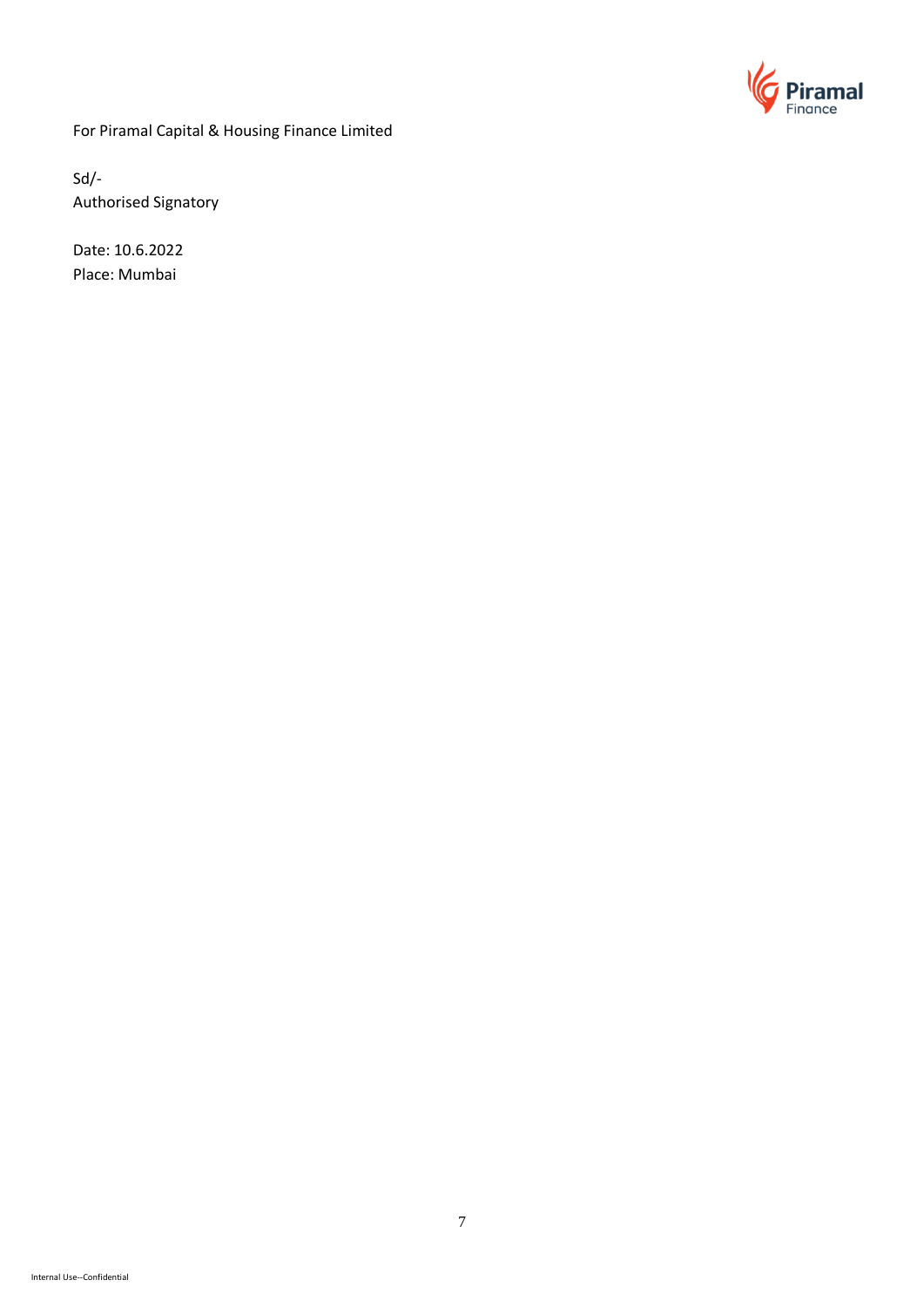

For Piramal Capital & Housing Finance Limited

Sd/- Authorised Signatory

Date: 10.6.2022 Place: Mumbai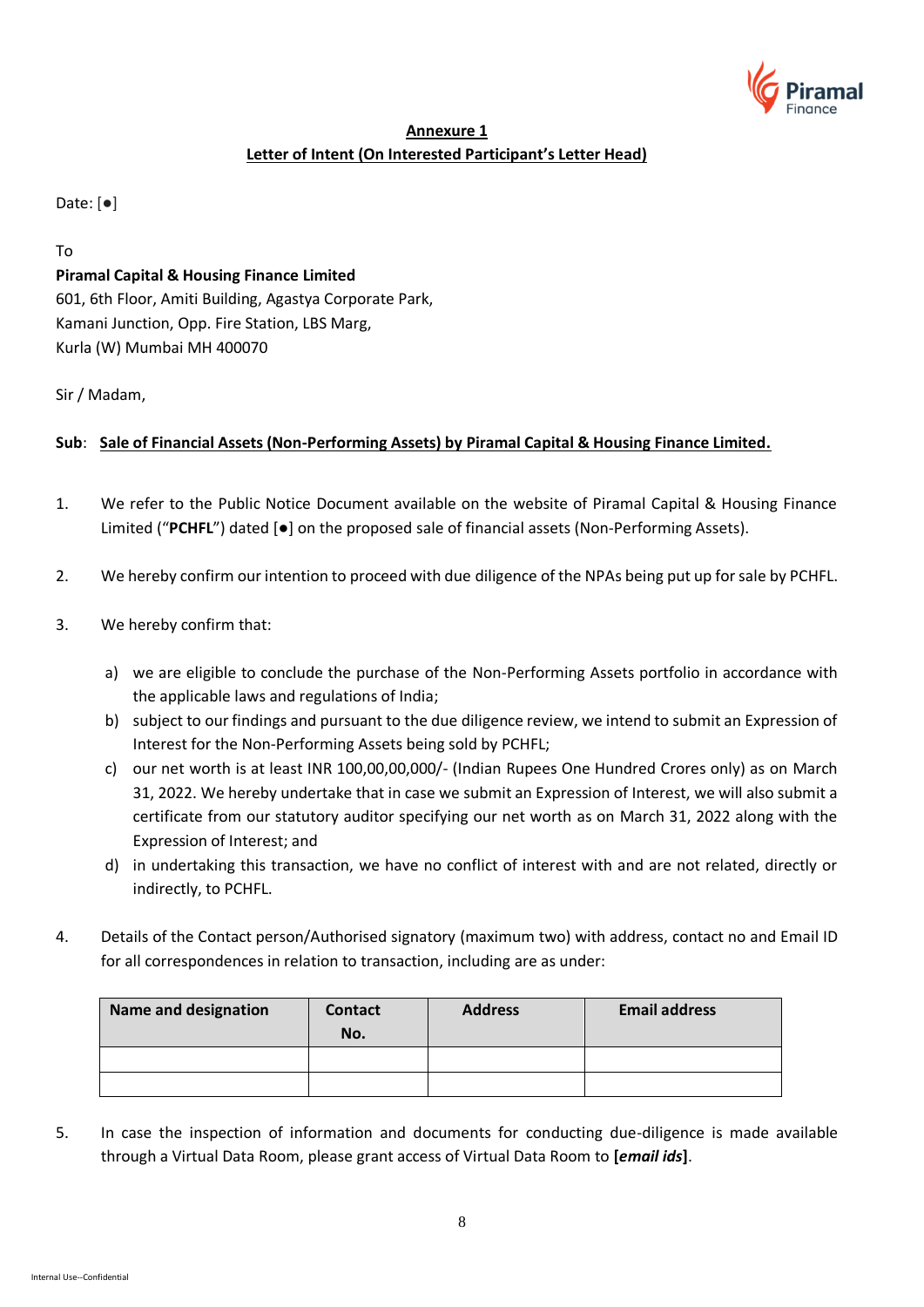

# **Annexure 1 Letter of Intent (On Interested Participant's Letter Head)**

Date: [●]

To

# **Piramal Capital & Housing Finance Limited**

601, 6th Floor, Amiti Building, Agastya Corporate Park, Kamani Junction, Opp. Fire Station, LBS Marg, Kurla (W) Mumbai MH 400070

# Sir / Madam,

# **Sub**: **Sale of Financial Assets (Non-Performing Assets) by Piramal Capital & Housing Finance Limited.**

- 1. We refer to the Public Notice Document available on the website of Piramal Capital & Housing Finance Limited ("**PCHFL**") dated [●] on the proposed sale of financial assets (Non-Performing Assets).
- 2. We hereby confirm our intention to proceed with due diligence of the NPAs being put up for sale by PCHFL.
- 3. We hereby confirm that:
	- a) we are eligible to conclude the purchase of the Non-Performing Assets portfolio in accordance with the applicable laws and regulations of India;
	- b) subject to our findings and pursuant to the due diligence review, we intend to submit an Expression of Interest for the Non-Performing Assets being sold by PCHFL;
	- c) our net worth is at least INR 100,00,00,000/- (Indian Rupees One Hundred Crores only) as on March 31, 2022. We hereby undertake that in case we submit an Expression of Interest, we will also submit a certificate from our statutory auditor specifying our net worth as on March 31, 2022 along with the Expression of Interest; and
	- d) in undertaking this transaction, we have no conflict of interest with and are not related, directly or indirectly, to PCHFL.
- 4. Details of the Contact person/Authorised signatory (maximum two) with address, contact no and Email ID for all correspondences in relation to transaction, including are as under:

| <b>Name and designation</b> | <b>Contact</b><br>No. | <b>Address</b> | <b>Email address</b> |
|-----------------------------|-----------------------|----------------|----------------------|
|                             |                       |                |                      |
|                             |                       |                |                      |

5. In case the inspection of information and documents for conducting due-diligence is made available through a Virtual Data Room, please grant access of Virtual Data Room to **[***email ids***]**.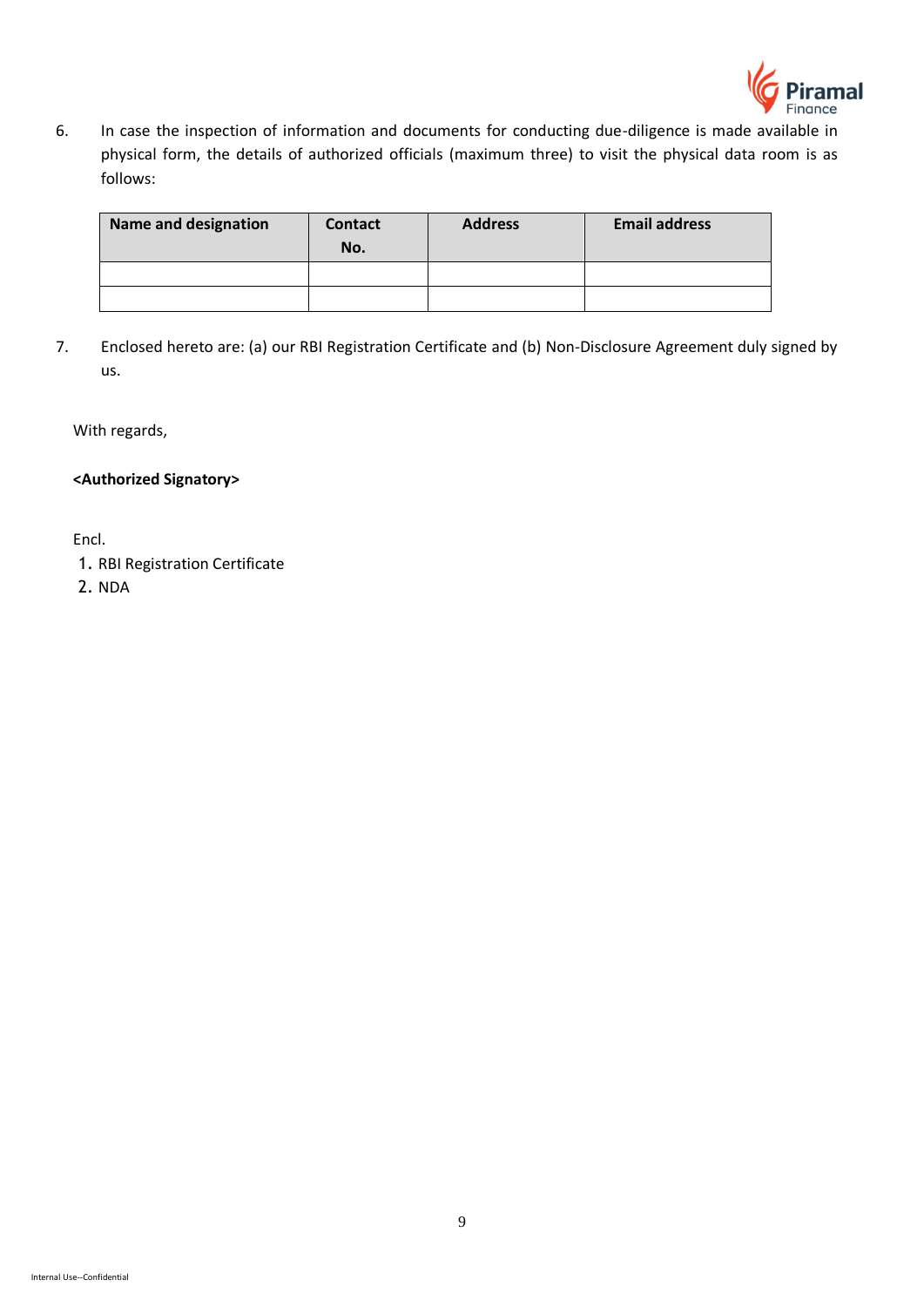

6. In case the inspection of information and documents for conducting due-diligence is made available in physical form, the details of authorized officials (maximum three) to visit the physical data room is as follows:

| <b>Name and designation</b> | Contact<br>No. | <b>Address</b> | <b>Email address</b> |
|-----------------------------|----------------|----------------|----------------------|
|                             |                |                |                      |
|                             |                |                |                      |

7. Enclosed hereto are: (a) our RBI Registration Certificate and (b) Non-Disclosure Agreement duly signed by us.

With regards,

**<Authorized Signatory>**

Encl.

1. RBI Registration Certificate

2. NDA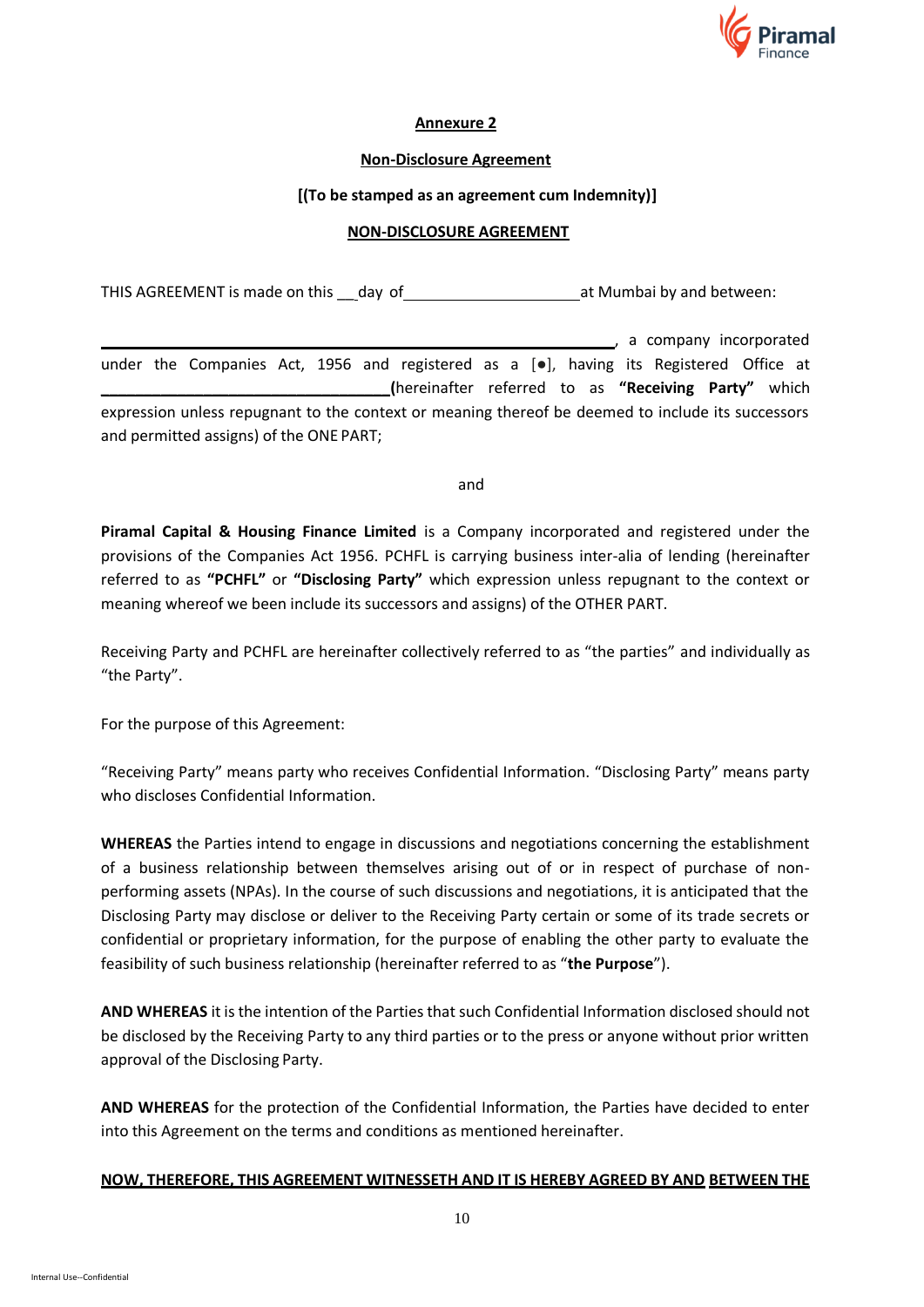

### **Annexure 2**

### **Non-Disclosure Agreement**

### **[(To be stamped as an agreement cum Indemnity)]**

### **NON-DISCLOSURE AGREEMENT**

THIS AGREEMENT is made on this day of and between: THIS AGREEMENT is made on this day of

**Example 2**, a company incorporated under the Companies Act, 1956 and registered as a [.], having its Registered Office at **\_\_\_\_\_\_\_\_\_\_\_\_\_\_\_\_\_\_\_\_\_\_\_\_\_\_\_\_\_\_\_\_\_\_(**hereinafter referred to as **"Receiving Party"** which expression unless repugnant to the context or meaning thereof be deemed to include its successors and permitted assigns) of the ONE PART;

and

**Piramal Capital & Housing Finance Limited** is a Company incorporated and registered under the provisions of the Companies Act 1956. PCHFL is carrying business inter-alia of lending (hereinafter referred to as **"PCHFL"** or **"Disclosing Party"** which expression unless repugnant to the context or meaning whereof we been include its successors and assigns) of the OTHER PART.

Receiving Party and PCHFL are hereinafter collectively referred to as "the parties" and individually as "the Party".

For the purpose of this Agreement:

"Receiving Party" means party who receives Confidential Information. "Disclosing Party" means party who discloses Confidential Information.

**WHEREAS** the Parties intend to engage in discussions and negotiations concerning the establishment of a business relationship between themselves arising out of or in respect of purchase of nonperforming assets (NPAs). In the course of such discussions and negotiations, it is anticipated that the Disclosing Party may disclose or deliver to the Receiving Party certain or some of its trade secrets or confidential or proprietary information, for the purpose of enabling the other party to evaluate the feasibility of such business relationship (hereinafter referred to as "**the Purpose**").

**AND WHEREAS** it is the intention of the Parties that such Confidential Information disclosed should not be disclosed by the Receiving Party to any third parties or to the press or anyone without prior written approval of the Disclosing Party.

**AND WHEREAS** for the protection of the Confidential Information, the Parties have decided to enter into this Agreement on the terms and conditions as mentioned hereinafter.

# **NOW, THEREFORE, THIS AGREEMENT WITNESSETH AND IT IS HEREBY AGREED BY AND BETWEEN THE**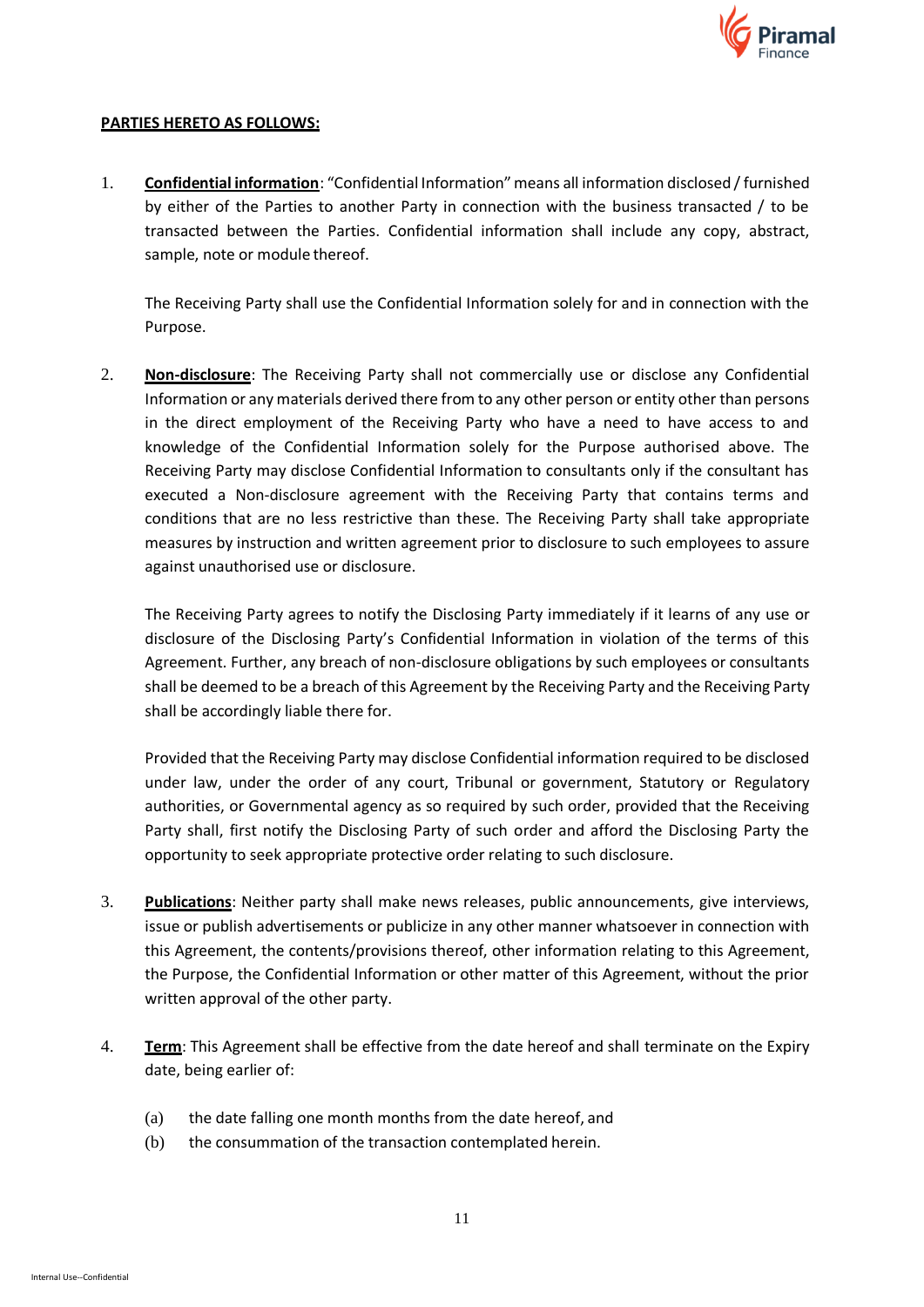

### **PARTIES HERETO AS FOLLOWS:**

1. **Confidential information**: "Confidential Information" means all information disclosed / furnished by either of the Parties to another Party in connection with the business transacted / to be transacted between the Parties. Confidential information shall include any copy, abstract, sample, note or module thereof.

The Receiving Party shall use the Confidential Information solely for and in connection with the Purpose.

2. **Non-disclosure**: The Receiving Party shall not commercially use or disclose any Confidential Information or any materials derived there from to any other person or entity other than persons in the direct employment of the Receiving Party who have a need to have access to and knowledge of the Confidential Information solely for the Purpose authorised above. The Receiving Party may disclose Confidential Information to consultants only if the consultant has executed a Non-disclosure agreement with the Receiving Party that contains terms and conditions that are no less restrictive than these. The Receiving Party shall take appropriate measures by instruction and written agreement prior to disclosure to such employees to assure against unauthorised use or disclosure.

The Receiving Party agrees to notify the Disclosing Party immediately if it learns of any use or disclosure of the Disclosing Party's Confidential Information in violation of the terms of this Agreement. Further, any breach of non-disclosure obligations by such employees or consultants shall be deemed to be a breach of this Agreement by the Receiving Party and the Receiving Party shall be accordingly liable there for.

Provided that the Receiving Party may disclose Confidential information required to be disclosed under law, under the order of any court, Tribunal or government, Statutory or Regulatory authorities, or Governmental agency as so required by such order, provided that the Receiving Party shall, first notify the Disclosing Party of such order and afford the Disclosing Party the opportunity to seek appropriate protective order relating to such disclosure.

- 3. **Publications**: Neither party shall make news releases, public announcements, give interviews, issue or publish advertisements or publicize in any other manner whatsoever in connection with this Agreement, the contents/provisions thereof, other information relating to this Agreement, the Purpose, the Confidential Information or other matter of this Agreement, without the prior written approval of the other party.
- 4. **Term**: This Agreement shall be effective from the date hereof and shall terminate on the Expiry date, being earlier of:
	- (a) the date falling one month months from the date hereof, and
	- (b) the consummation of the transaction contemplated herein.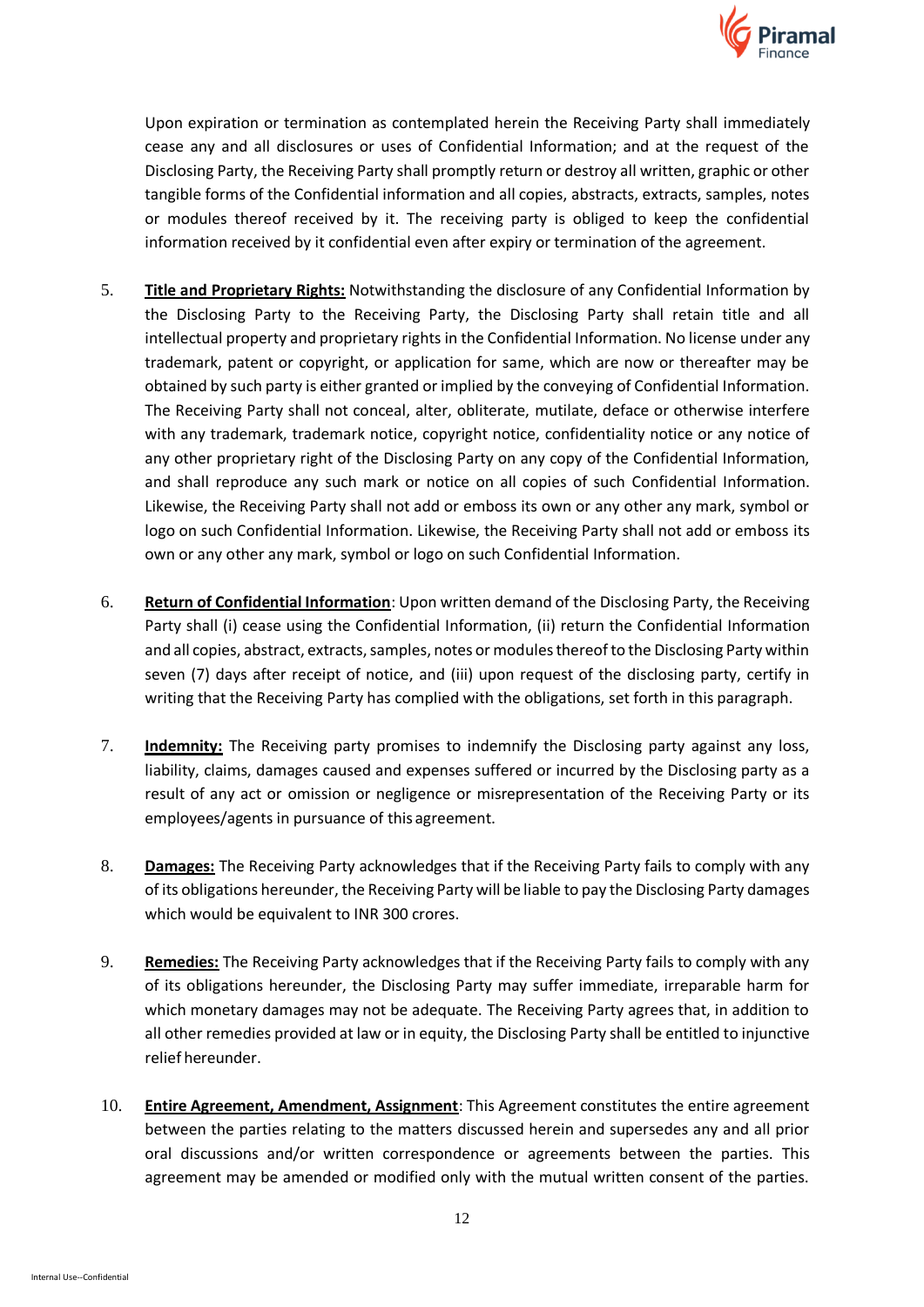

Upon expiration or termination as contemplated herein the Receiving Party shall immediately cease any and all disclosures or uses of Confidential Information; and at the request of the Disclosing Party, the Receiving Party shall promptly return or destroy all written, graphic or other tangible forms of the Confidential information and all copies, abstracts, extracts, samples, notes or modules thereof received by it. The receiving party is obliged to keep the confidential information received by it confidential even after expiry or termination of the agreement.

- 5. **Title and Proprietary Rights:** Notwithstanding the disclosure of any Confidential Information by the Disclosing Party to the Receiving Party, the Disclosing Party shall retain title and all intellectual property and proprietary rights in the Confidential Information. No license under any trademark, patent or copyright, or application for same, which are now or thereafter may be obtained by such party is either granted or implied by the conveying of Confidential Information. The Receiving Party shall not conceal, alter, obliterate, mutilate, deface or otherwise interfere with any trademark, trademark notice, copyright notice, confidentiality notice or any notice of any other proprietary right of the Disclosing Party on any copy of the Confidential Information, and shall reproduce any such mark or notice on all copies of such Confidential Information. Likewise, the Receiving Party shall not add or emboss its own or any other any mark, symbol or logo on such Confidential Information. Likewise, the Receiving Party shall not add or emboss its own or any other any mark, symbol or logo on such Confidential Information.
- 6. **Return of Confidential Information**: Upon written demand of the Disclosing Party, the Receiving Party shall (i) cease using the Confidential Information, (ii) return the Confidential Information and all copies, abstract, extracts, samples, notes or modules thereof to the Disclosing Party within seven (7) days after receipt of notice, and (iii) upon request of the disclosing party, certify in writing that the Receiving Party has complied with the obligations, set forth in this paragraph.
- 7. **Indemnity:** The Receiving party promises to indemnify the Disclosing party against any loss, liability, claims, damages caused and expenses suffered or incurred by the Disclosing party as a result of any act or omission or negligence or misrepresentation of the Receiving Party or its employees/agents in pursuance of this agreement.
- 8. **Damages:** The Receiving Party acknowledges that if the Receiving Party fails to comply with any of its obligations hereunder, the Receiving Party will be liable to pay the Disclosing Party damages which would be equivalent to INR 300 crores.
- 9. **Remedies:** The Receiving Party acknowledges that if the Receiving Party fails to comply with any of its obligations hereunder, the Disclosing Party may suffer immediate, irreparable harm for which monetary damages may not be adequate. The Receiving Party agrees that, in addition to all other remedies provided at law or in equity, the Disclosing Party shall be entitled to injunctive relief hereunder.
- 10. **Entire Agreement, Amendment, Assignment**: This Agreement constitutes the entire agreement between the parties relating to the matters discussed herein and supersedes any and all prior oral discussions and/or written correspondence or agreements between the parties. This agreement may be amended or modified only with the mutual written consent of the parties.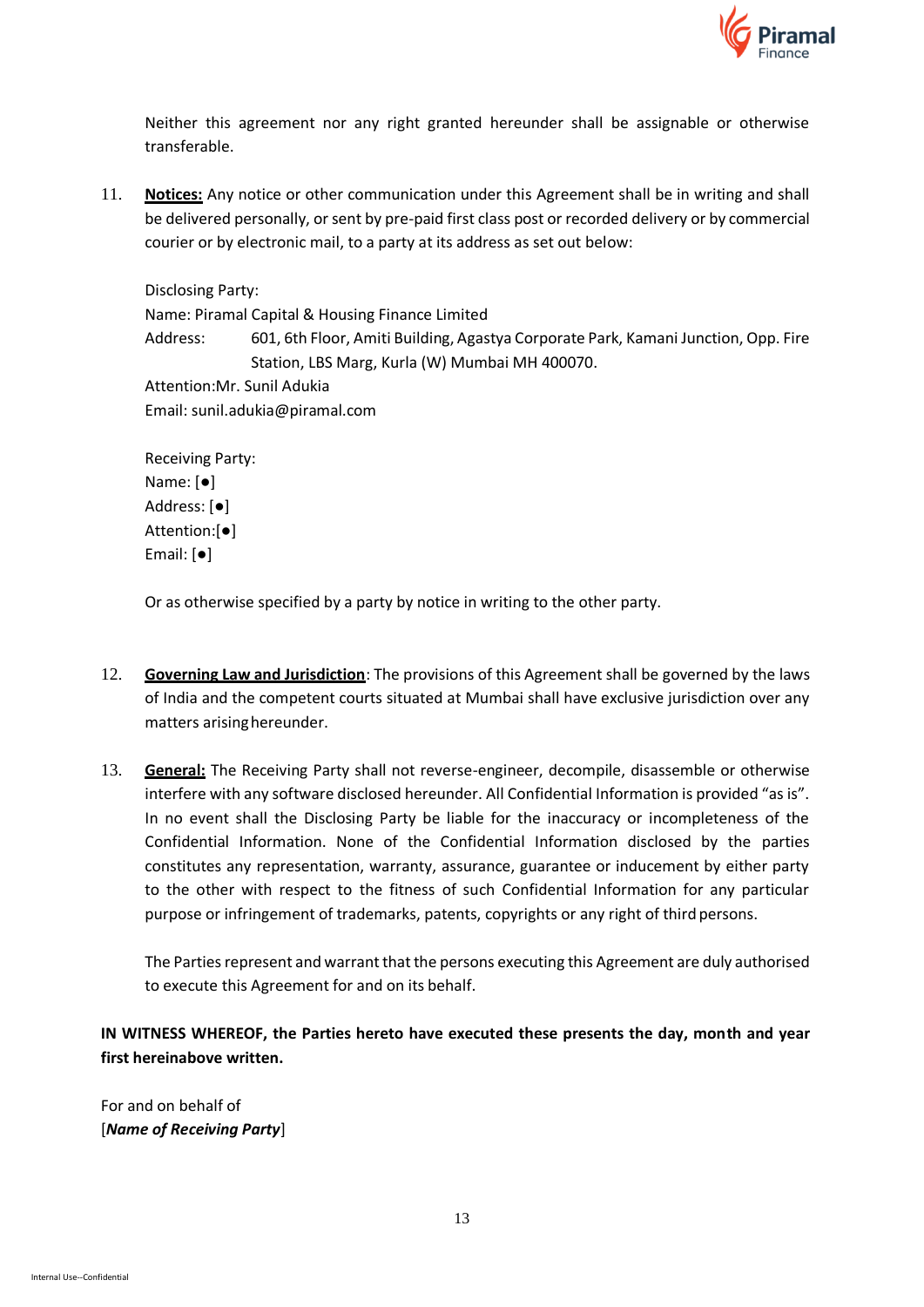

Neither this agreement nor any right granted hereunder shall be assignable or otherwise transferable.

11. **Notices:** Any notice or other communication under this Agreement shall be in writing and shall be delivered personally, or sent by pre-paid first class post or recorded delivery or by commercial courier or by electronic mail, to a party at its address as set out below:

Disclosing Party: Name: Piramal Capital & Housing Finance Limited Address: 601, 6th Floor, Amiti Building, Agastya Corporate Park, Kamani Junction, Opp. Fire Station, LBS Marg, Kurla (W) Mumbai MH 400070. Attention:Mr. Sunil Adukia Email: sunil.adukia@piramal.com

Receiving Party: Name: [●] Address: [●] Attention:[●] Email: [●]

Or as otherwise specified by a party by notice in writing to the other party.

- 12. **Governing Law and Jurisdiction**: The provisions of this Agreement shall be governed by the laws of India and the competent courts situated at Mumbai shall have exclusive jurisdiction over any matters arisinghereunder.
- 13. **General:** The Receiving Party shall not reverse-engineer, decompile, disassemble or otherwise interfere with any software disclosed hereunder. All Confidential Information is provided "as is". In no event shall the Disclosing Party be liable for the inaccuracy or incompleteness of the Confidential Information. None of the Confidential Information disclosed by the parties constitutes any representation, warranty, assurance, guarantee or inducement by either party to the other with respect to the fitness of such Confidential Information for any particular purpose or infringement of trademarks, patents, copyrights or any right of third persons.

The Parties represent and warrant that the persons executing this Agreement are duly authorised to execute this Agreement for and on its behalf.

**IN WITNESS WHEREOF, the Parties hereto have executed these presents the day, month and year first hereinabove written.**

For and on behalf of [*Name of Receiving Party*]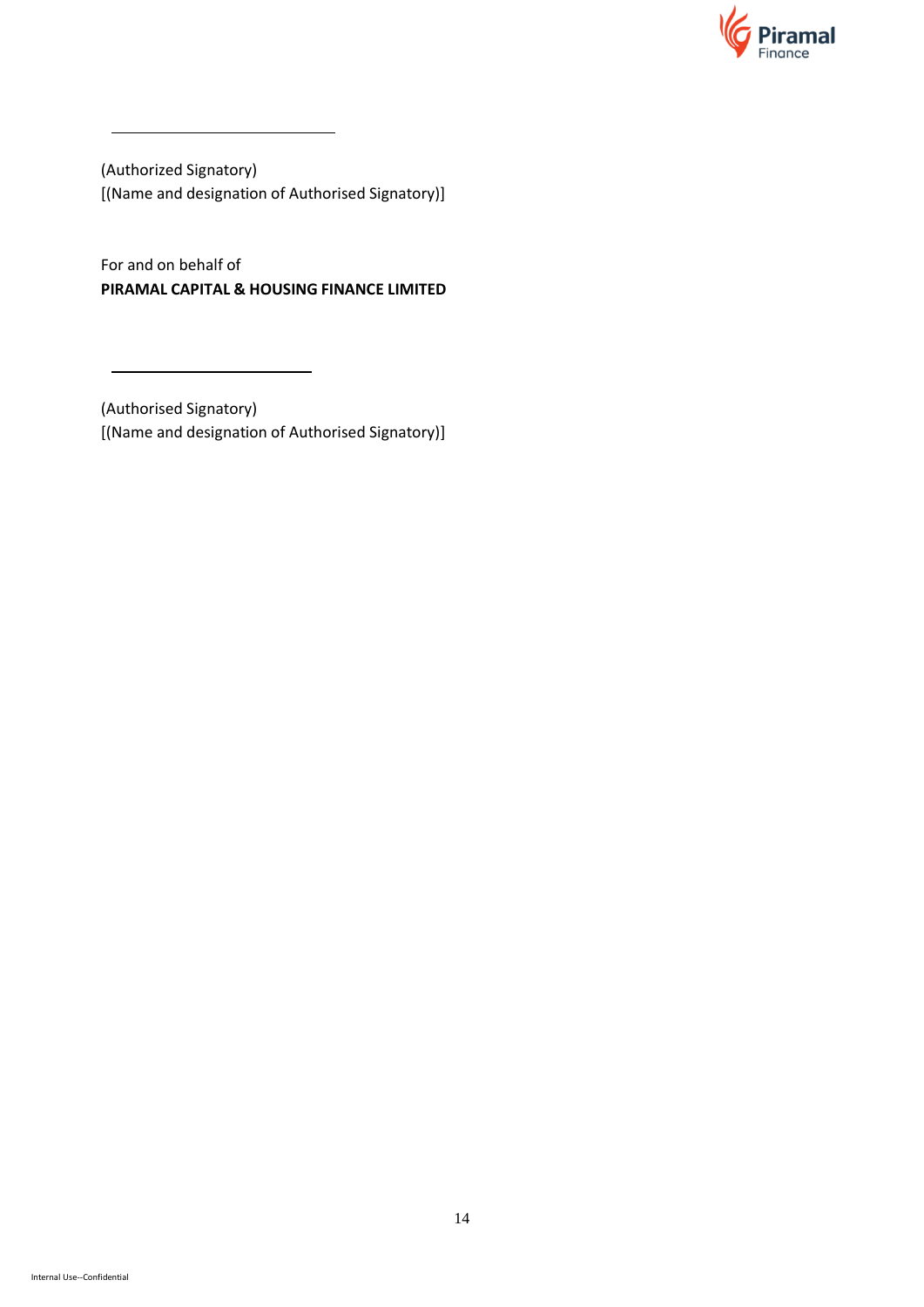

(Authorized Signatory) [(Name and designation of Authorised Signatory)]

For and on behalf of **PIRAMAL CAPITAL & HOUSING FINANCE LIMITED** 

(Authorised Signatory) [(Name and designation of Authorised Signatory)]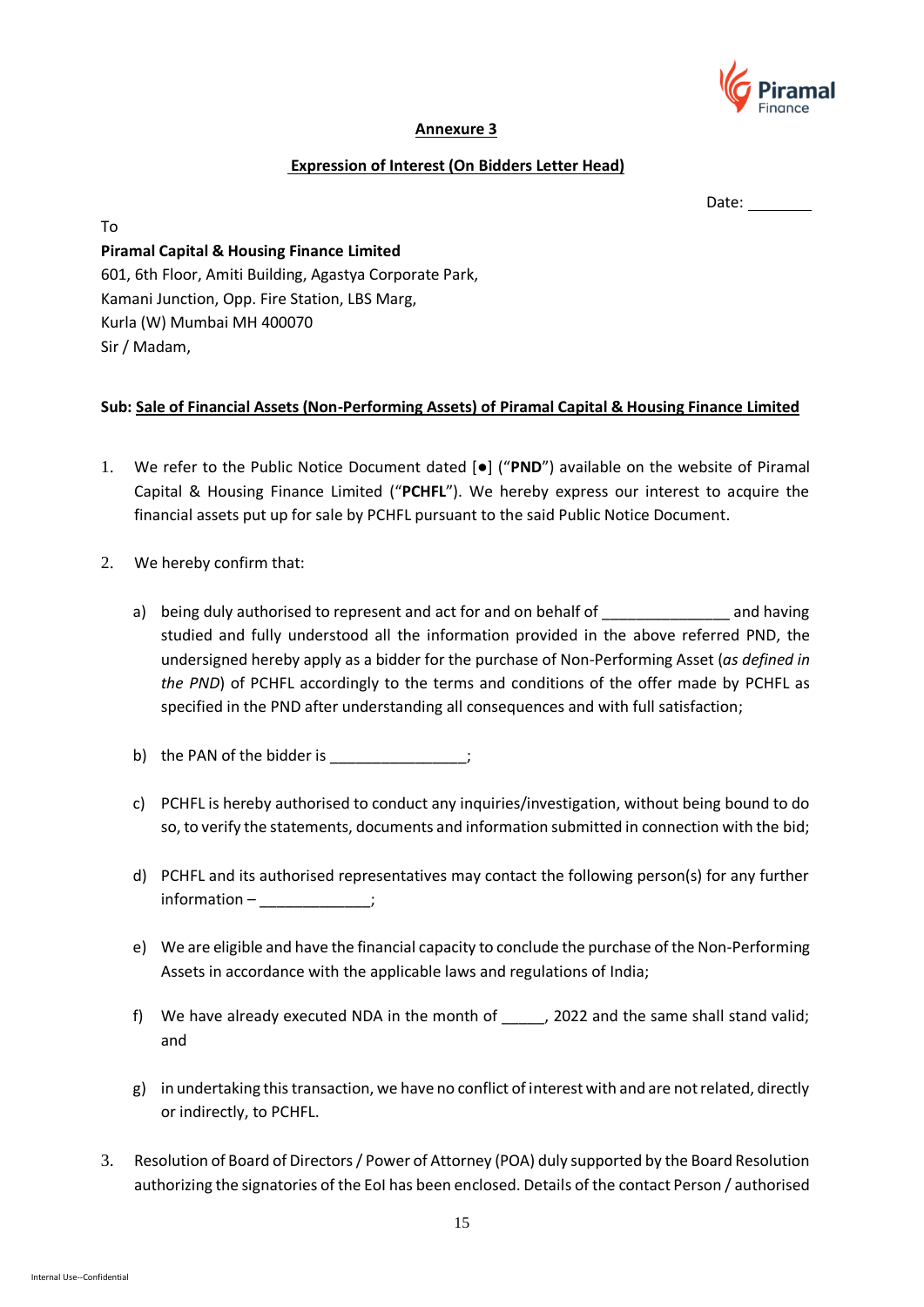

### **Annexure 3**

### **Expression of Interest (On Bidders Letter Head)**

Date:

**Piramal Capital & Housing Finance Limited** 601, 6th Floor, Amiti Building, Agastya Corporate Park, Kamani Junction, Opp. Fire Station, LBS Marg, Kurla (W) Mumbai MH 400070 Sir / Madam,

# **Sub: Sale of Financial Assets (Non-Performing Assets) of Piramal Capital & Housing Finance Limited**

- 1. We refer to the Public Notice Document dated [●] ("**PND**") available on the website of Piramal Capital & Housing Finance Limited ("**PCHFL**"). We hereby express our interest to acquire the financial assets put up for sale by PCHFL pursuant to the said Public Notice Document.
- 2. We hereby confirm that:

To

- a) being duly authorised to represent and act for and on behalf of Theorem 2011 and having studied and fully understood all the information provided in the above referred PND, the undersigned hereby apply as a bidder for the purchase of Non-Performing Asset (*as defined in the PND*) of PCHFL accordingly to the terms and conditions of the offer made by PCHFL as specified in the PND after understanding all consequences and with full satisfaction;
- b) the PAN of the bidder is  $\hspace{1.6cm}$ ;
- c) PCHFL is hereby authorised to conduct any inquiries/investigation, without being bound to do so, to verify the statements, documents and information submitted in connection with the bid;
- d) PCHFL and its authorised representatives may contact the following person(s) for any further information – etc.
- e) We are eligible and have the financial capacity to conclude the purchase of the Non-Performing Assets in accordance with the applicable laws and regulations of India;
- f) We have already executed NDA in the month of \_\_\_\_\_, 2022 and the same shall stand valid; and
- g) in undertaking this transaction, we have no conflict of interest with and are not related, directly or indirectly, to PCHFL.
- 3. Resolution of Board of Directors / Power of Attorney (POA) duly supported by the Board Resolution authorizing the signatories of the EoI has been enclosed. Details of the contact Person / authorised